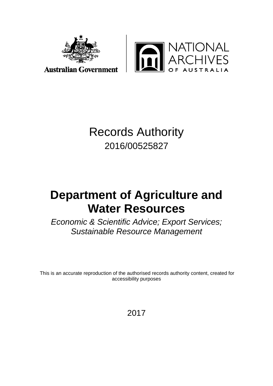

**TIONAL<br>CHIVES** TRALIA

# Records Authority 2016/00525827

# **Department of Agriculture and Water Resources**

*Economic & Scientific Advice; Export Services; Sustainable Resource Management*

This is an accurate reproduction of the authorised records authority content, created for accessibility purposes

2017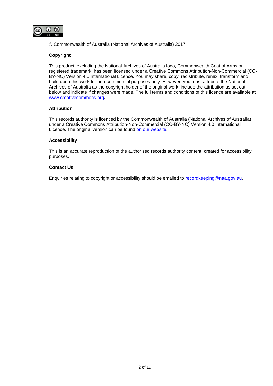

© Commonwealth of Australia (National Archives of Australia) 2017

#### **Copyright**

This product, excluding the National Archives of Australia logo, Commonwealth Coat of Arms or registered trademark, has been licensed under a Creative Commons Attribution-Non-Commercial (CC-BY-NC) Version 4.0 International Licence. You may share, copy, redistribute, remix, transform and build upon this work for non-commercial purposes only. However, you must attribute the National Archives of Australia as the copyright holder of the original work, include the attribution as set out below and indicate if changes were made. The full terms and conditions of this licence are available at [www.creativecommons.org](http://www.creativecommons.org/)**.**

#### **Attribution**

This records authority is licenced by the Commonwealth of Australia (National Archives of Australia) under a Creative Commons Attribution-Non-Commercial (CC-BY-NC) Version 4.0 International Licence. The original version can be found [on our website.](http://www.naa.gov.au/)

#### **Accessibility**

This is an accurate reproduction of the authorised records authority content, created for accessibility purposes.

#### **Contact Us**

Enquiries relating to copyright or accessibility should be emailed to [recordkeeping@naa.gov.au.](mailto:recordkeeping@naa.gov.au)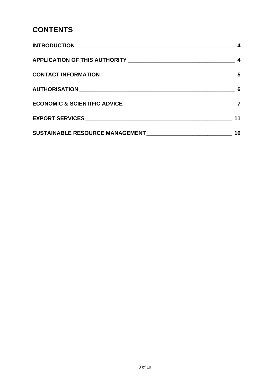# **CONTENTS**

| 11 |
|----|
| 16 |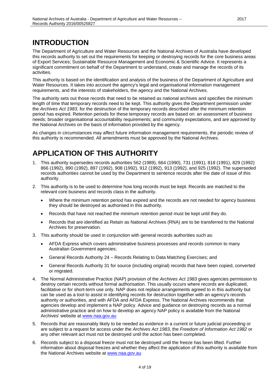## <span id="page-3-0"></span>**INTRODUCTION**

The Department of Agriculture and Water Resources and the National Archives of Australia have developed this records authority to set out the requirements for keeping or destroying records for the core business areas of Export Services; Sustainable Resource Management and Economic & Scientific Advice. It represents a significant commitment on behalf of the Department to understand, create and manage the records of its activities.

This authority is based on the identification and analysis of the business of the Department of Agriculture and Water Resources. It takes into account the agency's legal and organisational information management requirements, and the interests of stakeholders, the agency and the National Archives.

The authority sets out those records that need to be retained as national archives and specifies the minimum length of time that temporary records need to be kept. This authority gives the Department permission under the *Archives Act 1983*, for the destruction of the temporary records described after the minimum retention period has expired. Retention periods for these temporary records are based on: an assessment of business needs; broader organisational accountability requirements; and community expectations, and are approved by the National Archives on the basis of information provided by the agency.

As changes in circumstances may affect future information management requirements, the periodic review of this authority is recommended. All amendments must be approved by the National Archives.

### <span id="page-3-1"></span>**APPLICATION OF THIS AUTHORITY**

- 1. This authority supersedes records authorities 562 (1989), 664 (1990), 731 (1991), 818 (1991), 829 (1992) 866 (1992), 890 (1992), 897 (1992), 908 (1992), 912 (1992), 913 (1992), and 925 (1992). The superseded records authorities cannot be used by the Department to sentence records after the date of issue of this authority.
- 2. This authority is to be used to determine how long records must be kept. Records are matched to the relevant core business and records class in the authority.
	- Where the minimum retention period has expired and the records are not needed for agency business they should be destroyed as authorised in this authority.
	- Records that have not reached the minimum retention period must be kept until they do.
	- Records that are identified as Retain as National Archives (RNA) are to be transferred to the National Archives for preservation.
- 3. This authority should be used in conjunction with general records authorities such as:
	- AFDA Express which covers administrative business processes and records common to many Australian Government agencies;
	- General Records Authority 24 Records Relating to Data Matching Exercises; and
	- General Records Authority 31 for source (including original) records that have been copied, converted or migrated.
- 4. The Normal Administrative Practice (NAP) provision of the *Archives Act 1983* gives agencies permission to destroy certain records without formal authorisation. This usually occurs where records are duplicated, facilitative or for short-term use only. NAP does not replace arrangements agreed to in this authority but can be used as a tool to assist in identifying records for destruction together with an agency's records authority or authorities, and with AFDA and AFDA Express. The National Archives recommends that agencies develop and implement a NAP policy. Advice and guidance on destroying records as a normal administrative practice and on how to develop an agency NAP policy is available from the National Archives' website at [www.naa.gov.au](http://www.naa.gov.au/)
- 5. Records that are reasonably likely to be needed as evidence in a current or future judicial proceeding or are subject to a request for access under the *Archives Act 1983*, the *Freedom of Information Act 1982* or any other relevant act must not be destroyed until the action has been completed.
- 6. Records subject to a disposal freeze must not be destroyed until the freeze has been lifted. Further information about disposal freezes and whether they affect the application of this authority is available from the National Archives website at [www.naa.gov.au](http://www.naa.gov.au/)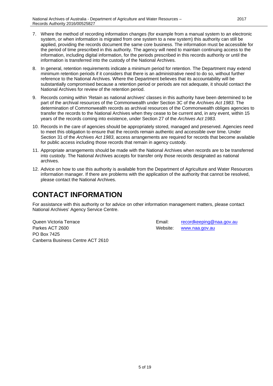- 7. Where the method of recording information changes (for example from a manual system to an electronic system, or when information is migrated from one system to a new system) this authority can still be applied, providing the records document the same core business. The information must be accessible for the period of time prescribed in this authority. The agency will need to maintain continuing access to the information, including digital information, for the periods prescribed in this records authority or until the information is transferred into the custody of the National Archives.
- 8. In general, retention requirements indicate a minimum period for retention. The Department may extend minimum retention periods if it considers that there is an administrative need to do so, without further reference to the National Archives. Where the Department believes that its accountability will be substantially compromised because a retention period or periods are not adequate, it should contact the National Archives for review of the retention period.
- 9. Records coming within 'Retain as national archives' classes in this authority have been determined to be part of the archival resources of the Commonwealth under Section 3C of the *Archives Act 1983*. The determination of Commonwealth records as archival resources of the Commonwealth obliges agencies to transfer the records to the National Archives when they cease to be current and, in any event, within 15 years of the records coming into existence, under Section 27 of the *Archives Act 1983*.
- 10. Records in the care of agencies should be appropriately stored, managed and preserved. Agencies need to meet this obligation to ensure that the records remain authentic and accessible over time. Under Section 31 of the *Archives Act 1983*, access arrangements are required for records that become available for public access including those records that remain in agency custody.
- 11. Appropriate arrangements should be made with the National Archives when records are to be transferred into custody. The National Archives accepts for transfer only those records designated as national archives.
- 12. Advice on how to use this authority is available from the Department of Agriculture and Water Resources information manager. If there are problems with the application of the authority that cannot be resolved, please contact the National Archives.

### <span id="page-4-0"></span>**CONTACT INFORMATION**

For assistance with this authority or for advice on other information management matters, please contact National Archives' Agency Service Centre.

Parkes ACT 2600 **Website:** Website: [www.naa.gov.au](http://www.naa.gov.au/) PO Box 7425 Canberra Business Centre ACT 2610

Queen Victoria Terrace **Email:** [recordkeeping@naa.gov.au](mailto:recordkeeping@naa.gov.au)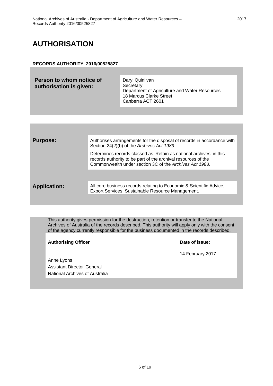### <span id="page-5-0"></span>**AUTHORISATION**

#### **RECORDS AUTHORITY 2016/00525827**

**Person to whom notice of authorisation is given:** Daryl Quinlivan **Secretary** Department of Agriculture and Water Resources 18 Marcus Clarke Street Canberra ACT 2601

| <b>Purpose:</b>     | Authorises arrangements for the disposal of records in accordance with<br>Section 24(2)(b) of the Archives Act 1983                                                                             |
|---------------------|-------------------------------------------------------------------------------------------------------------------------------------------------------------------------------------------------|
|                     | Determines records classed as 'Retain as national archives' in this<br>records authority to be part of the archival resources of the<br>Commonwealth under section 3C of the Archives Act 1983. |
|                     |                                                                                                                                                                                                 |
| <b>Application:</b> | All core business records relating to Economic & Scientific Advice,<br>Export Services, Sustainable Resource Management.                                                                        |
|                     |                                                                                                                                                                                                 |

This authority gives permission for the destruction, retention or transfer to the National Archives of Australia of the records described. This authority will apply only with the consent of the agency currently responsible for the business documented in the records described.

Authorising Officer **Date of issue:** 

14 February 2017

Anne Lyons Assistant Director-General National Archives of Australia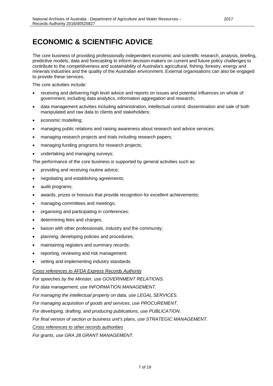# <span id="page-6-0"></span>**ECONOMIC & SCIENTIFIC ADVICE**

The core business of providing professionally independent economic and scientific research, analysis, briefing, predictive models, data and forecasting to inform decision-makers on current and future policy challenges to contribute to the competitiveness and sustainability of Australia's agricultural, fishing, forestry, energy and minerals industries and the quality of the Australian environment. External organisations can also be engaged to provide these services.

The core activities include:

- receiving and delivering high level advice and reports on issues and potential influences on whole of government, including data analytics, information aggregation and research;
- data management activities including administration, intellectual control, dissemination and sale of both manipulated and raw data to clients and stakeholders;
- economic modelling;
- managing public relations and raising awareness about research and advice services;
- managing research projects and trials including research papers;
- managing funding programs for research projects;
- undertaking and managing surveys;

The performance of the core business is supported by general activities such as:

- providing and receiving routine advice;
- negotiating and establishing agreements;
- audit programs;
- awards, prizes or honours that provide recognition for excellent achievements;
- managing committees and meetings;
- organising and participating in conferences;
- determining fees and charges;
- liaison with other professionals, industry and the community;
- planning, developing policies and procedures;
- maintaining registers and summary records;
- reporting, reviewing and risk management;
- setting and implementing industry standards.

*Cross references to AFDA Express Records Authority*

*For speeches by the Minister, use GOVERNMENT RELATIONS.*

*For data management, use INFORMATION MANAGEMENT.*

*For managing the intellectual property on data, use LEGAL SERVICES.*

*For managing acquisition of goods and services, use PROCUREMENT.*

*For developing, drafting, and producing publications, use PUBLICATION.*

*For final version of section or business unit's plans, use STRATEGIC MANAGEMENT.*

*Cross references to other records authorities*

*For grants, use GRA 28 GRANT MANAGEMENT.*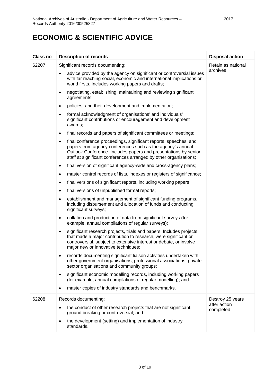### **ECONOMIC & SCIENTIFIC ADVICE**

| Class no | <b>Description of records</b>                                                                                                                                                                                                                                                       | <b>Disposal action</b>    |
|----------|-------------------------------------------------------------------------------------------------------------------------------------------------------------------------------------------------------------------------------------------------------------------------------------|---------------------------|
| 62207    | Significant records documenting:                                                                                                                                                                                                                                                    | Retain as national        |
|          | advice provided by the agency on significant or controversial issues<br>with far reaching social, economic and international implications or<br>world firsts. Includes working papers and drafts;                                                                                   | archives                  |
|          | negotiating, establishing, maintaining and reviewing significant<br>$\bullet$<br>agreements;                                                                                                                                                                                        |                           |
|          | policies, and their development and implementation;<br>$\bullet$                                                                                                                                                                                                                    |                           |
|          | formal acknowledgment of organisations' and individuals'<br>$\bullet$<br>significant contributions or encouragement and development<br>awards;                                                                                                                                      |                           |
|          | final records and papers of significant committees or meetings;<br>$\bullet$                                                                                                                                                                                                        |                           |
|          | final conference proceedings, significant reports, speeches, and<br>$\bullet$<br>papers from agency conferences such as the agency's annual<br>Outlook Conference. Includes papers and presentations by senior<br>staff at significant conferences arranged by other organisations; |                           |
|          | final version of significant agency-wide and cross-agency plans;<br>$\bullet$                                                                                                                                                                                                       |                           |
|          | master control records of lists, indexes or registers of significance;<br>$\bullet$                                                                                                                                                                                                 |                           |
|          | final versions of significant reports, including working papers;<br>$\bullet$                                                                                                                                                                                                       |                           |
|          | final versions of unpublished formal reports;<br>$\bullet$                                                                                                                                                                                                                          |                           |
|          | establishment and management of significant funding programs,<br>$\bullet$<br>including disbursement and allocation of funds and conducting<br>significant surveys;                                                                                                                 |                           |
|          | collation and production of data from significant surveys (for<br>$\bullet$<br>example, annual compilations of regular surveys);                                                                                                                                                    |                           |
|          | significant research projects, trials and papers. Includes projects<br>$\bullet$<br>that made a major contribution to research, were significant or<br>controversial, subject to extensive interest or debate, or involve<br>major new or innovative techniques;                    |                           |
|          | records documenting significant liaison activities undertaken with<br>other government organisations, professional associations, private<br>sector organisations and community groups;                                                                                              |                           |
|          | significant economic modelling records, including working papers<br>٠<br>(for example, annual compilations of regular modelling); and                                                                                                                                               |                           |
|          | master copies of industry standards and benchmarks.                                                                                                                                                                                                                                 |                           |
| 62208    | Records documenting:                                                                                                                                                                                                                                                                | Destroy 25 years          |
|          | the conduct of other research projects that are not significant,<br>ground breaking or controversial; and                                                                                                                                                                           | after action<br>completed |
|          | the development (setting) and implementation of industry<br>standards.                                                                                                                                                                                                              |                           |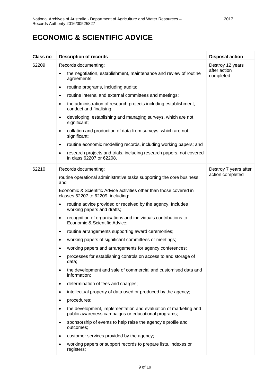### **ECONOMIC & SCIENTIFIC ADVICE**

| <b>Class no</b> | <b>Description of records</b>                                                                                                       | <b>Disposal action</b>    |
|-----------------|-------------------------------------------------------------------------------------------------------------------------------------|---------------------------|
| 62209           | Records documenting:                                                                                                                | Destroy 12 years          |
|                 | the negotiation, establishment, maintenance and review of routine<br>$\bullet$<br>agreements;                                       | after action<br>completed |
|                 | routine programs, including audits;<br>٠                                                                                            |                           |
|                 | routine internal and external committees and meetings;<br>$\bullet$                                                                 |                           |
|                 | the administration of research projects including establishment,<br>$\bullet$<br>conduct and finalising;                            |                           |
|                 | developing, establishing and managing surveys, which are not<br>٠<br>significant;                                                   |                           |
|                 | collation and production of data from surveys, which are not<br>$\bullet$<br>significant;                                           |                           |
|                 | routine economic modelling records, including working papers; and<br>٠                                                              |                           |
|                 | research projects and trials, including research papers, not covered<br>٠<br>in class 62207 or 62208.                               |                           |
| 62210           | Records documenting:                                                                                                                | Destroy 7 years after     |
|                 | routine operational administrative tasks supporting the core business;<br>and                                                       | action completed          |
|                 | Economic & Scientific Advice activities other than those covered in<br>classes 62207 to 62209, including:                           |                           |
|                 | routine advice provided or received by the agency. Includes<br>٠<br>working papers and drafts;                                      |                           |
|                 | recognition of organisations and individuals contributions to<br>$\bullet$<br>Economic & Scientific Advice;                         |                           |
|                 | routine arrangements supporting award ceremonies;<br>$\bullet$                                                                      |                           |
|                 | working papers of significant committees or meetings;<br>٠                                                                          |                           |
|                 | working papers and arrangements for agency conferences;                                                                             |                           |
|                 | processes for establishing controls on access to and storage of<br>data;                                                            |                           |
|                 | the development and sale of commercial and customised data and<br>$\bullet$<br>information;                                         |                           |
|                 | determination of fees and charges;<br>$\bullet$                                                                                     |                           |
|                 | intellectual property of data used or produced by the agency;<br>٠                                                                  |                           |
|                 | procedures;<br>٠                                                                                                                    |                           |
|                 | the development, implementation and evaluation of marketing and<br>$\bullet$<br>public awareness campaigns or educational programs; |                           |
|                 | sponsorship of events to help raise the agency's profile and<br>$\bullet$<br>outcomes;                                              |                           |
|                 | customer services provided by the agency;<br>٠                                                                                      |                           |
|                 | working papers or support records to prepare lists, indexes or<br>registers;                                                        |                           |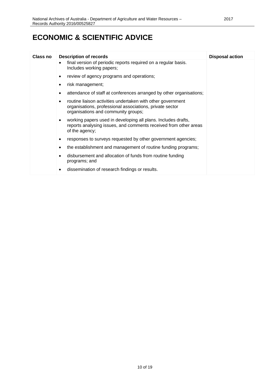| Class no | <b>Description of records</b>                                                                                                                                       | <b>Disposal action</b> |
|----------|---------------------------------------------------------------------------------------------------------------------------------------------------------------------|------------------------|
|          | final version of periodic reports required on a regular basis.<br>Includes working papers;                                                                          |                        |
|          | review of agency programs and operations;                                                                                                                           |                        |
|          | risk management;                                                                                                                                                    |                        |
|          | attendance of staff at conferences arranged by other organisations;                                                                                                 |                        |
|          | routine liaison activities undertaken with other government<br>٠<br>organisations, professional associations, private sector<br>organisations and community groups; |                        |
|          | working papers used in developing all plans. Includes drafts,<br>٠<br>reports analysing issues, and comments received from other areas<br>of the agency;            |                        |
|          | responses to surveys requested by other government agencies;                                                                                                        |                        |
|          | the establishment and management of routine funding programs;                                                                                                       |                        |
|          | disbursement and allocation of funds from routine funding<br>programs; and                                                                                          |                        |
|          | dissemination of research findings or results.                                                                                                                      |                        |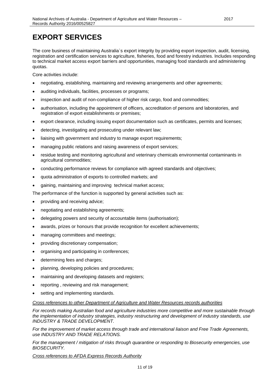<span id="page-10-0"></span>The core business of maintaining Australia`s export integrity by providing export inspection, audit, licensing, registration and certification services to agriculture, fisheries, food and forestry industries. Includes responding to technical market access export barriers and opportunities, managing food standards and administering quotas.

Core activities include:

- negotiating, establishing, maintaining and reviewing arrangements and other agreements;
- auditing individuals, facilities, processes or programs;
- inspection and audit of non-compliance of higher risk cargo, food and commodities;
- authorisation, including the appointment of officers, accreditation of persons and laboratories, and registration of export establishments or premises;
- export clearance, including issuing export documentation such as certificates, permits and licenses;
- detecting, investigating and prosecuting under relevant law;
- liaising with government and industry to manage export requirements;
- managing public relations and raising awareness of export services;
- residue testing and monitoring agricultural and veterinary chemicals environmental contaminants in agricultural commodities;
- conducting performance reviews for compliance with agreed standards and objectives;
- quota administration of exports to controlled markets; and
- gaining, maintaining and improving technical market access;

The performance of the function is supported by general activities such as:

- providing and receiving advice;
- negotiating and establishing agreements;
- delegating powers and security of accountable items (authorisation);
- awards, prizes or honours that provide recognition for excellent achievements;
- managing committees and meetings;
- providing discretionary compensation;
- organising and participating in conferences;
- determining fees and charges;
- planning, developing policies and procedures;
- maintaining and developing datasets and registers;
- reporting , reviewing and risk management;
- setting and implementing standards.

#### *Cross references to other Department of Agriculture and Water Resources records authorities*

*For records making Australian food and agriculture industries more competitive and more sustainable through the implementation of industry strategies, industry restructuring and development of industry standards, use INDUSTRY & TRADE DEVELOPMENT.*

*For the improvement of market access through trade and international liaison and Free Trade Agreements, use INDUSTRY AND TRADE RELATIONS.*

*For the management / mitigation of risks through quarantine or responding to Biosecurity emergencies, use BIOSECURITY.*

*Cross references to AFDA Express Records Authority*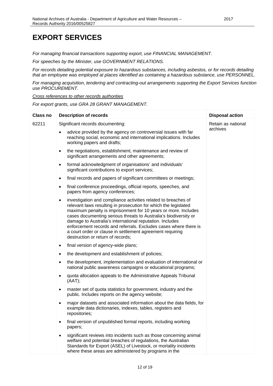*For managing financial transactions supporting export, use FINANCIAL MANAGEMENT.*

*For speeches by the Minister, use GOVERNMENT RELATIONS.*

*For records detailing potential exposure to hazardous substances, including asbestos, or for records detailing that an employee was employed at places identified as containing a hazardous substance, use PERSONNEL.*

*For managing acquisition, tendering and contracting-out arrangements supporting the Export Services function use PROCUREMENT.*

*Cross references to other records authorities*

*For export grants, use GRA 28 GRANT MANAGEMENT.*

| <b>Class no</b> | <b>Description of records</b>                                                                                                                                                                                                                                                                                                                                                                                                                                                                                          | <b>Disposal action</b> |
|-----------------|------------------------------------------------------------------------------------------------------------------------------------------------------------------------------------------------------------------------------------------------------------------------------------------------------------------------------------------------------------------------------------------------------------------------------------------------------------------------------------------------------------------------|------------------------|
| 62211           | Significant records documenting:                                                                                                                                                                                                                                                                                                                                                                                                                                                                                       | Retain as national     |
|                 | advice provided by the agency on controversial issues with far<br>reaching social, economic and international implications. Includes<br>working papers and drafts;                                                                                                                                                                                                                                                                                                                                                     | archives               |
|                 | the negotiations, establishment, maintenance and review of<br>$\bullet$<br>significant arrangements and other agreements;                                                                                                                                                                                                                                                                                                                                                                                              |                        |
|                 | formal acknowledgment of organisations' and individuals'<br>$\bullet$<br>significant contributions to export services;                                                                                                                                                                                                                                                                                                                                                                                                 |                        |
|                 | final records and papers of significant committees or meetings;<br>$\bullet$                                                                                                                                                                                                                                                                                                                                                                                                                                           |                        |
|                 | final conference proceedings, official reports, speeches, and<br>$\bullet$<br>papers from agency conferences;                                                                                                                                                                                                                                                                                                                                                                                                          |                        |
|                 | investigation and compliance activities related to breaches of<br>$\bullet$<br>relevant laws resulting in prosecution for which the legislated<br>maximum penalty is imprisonment for 10 years or more. Includes<br>cases documenting serious threats to Australia's biodiversity or<br>damage to Australia's international reputation. Includes<br>enforcement records and referrals. Excludes cases where there is<br>a court order or clause in settlement agreement requiring<br>destruction or return of records; |                        |
|                 | final version of agency-wide plans;<br>$\bullet$                                                                                                                                                                                                                                                                                                                                                                                                                                                                       |                        |
|                 | the development and establishment of policies;<br>٠                                                                                                                                                                                                                                                                                                                                                                                                                                                                    |                        |
|                 | the development, implementation and evaluation of international or<br>$\bullet$<br>national public awareness campaigns or educational programs;                                                                                                                                                                                                                                                                                                                                                                        |                        |
|                 | quota allocation appeals to the Administrative Appeals Tribunal<br>$\bullet$<br>(AAT);                                                                                                                                                                                                                                                                                                                                                                                                                                 |                        |
|                 | master set of quota statistics for government, industry and the<br>$\bullet$<br>public. Includes reports on the agency website;                                                                                                                                                                                                                                                                                                                                                                                        |                        |
|                 | major datasets and associated information about the data fields, for<br>$\bullet$<br>example data dictionaries, indexes, tables, registers and<br>repositories;                                                                                                                                                                                                                                                                                                                                                        |                        |
|                 | final version of unpublished formal reports, including working<br>٠<br>papers;                                                                                                                                                                                                                                                                                                                                                                                                                                         |                        |
|                 | significant reviews into incidents such as those concerning animal<br>$\bullet$<br>welfare and potential breaches of regulations, the Australian<br>Standards for Export (ASEL) of Livestock, or mortality incidents<br>where these areas are administered by programs in the                                                                                                                                                                                                                                          |                        |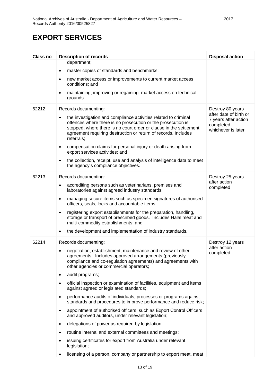| <b>Class no</b> | <b>Description of records</b>                                                                                                                                                                                                                                                         | <b>Disposal action</b>                                                             |
|-----------------|---------------------------------------------------------------------------------------------------------------------------------------------------------------------------------------------------------------------------------------------------------------------------------------|------------------------------------------------------------------------------------|
|                 | department;                                                                                                                                                                                                                                                                           |                                                                                    |
|                 | master copies of standards and benchmarks;<br>$\bullet$                                                                                                                                                                                                                               |                                                                                    |
|                 | new market access or improvements to current market access<br>٠<br>conditions; and                                                                                                                                                                                                    |                                                                                    |
|                 | maintaining, improving or regaining market access on technical<br>grounds.                                                                                                                                                                                                            |                                                                                    |
| 62212           | Records documenting:                                                                                                                                                                                                                                                                  | Destroy 80 years                                                                   |
|                 | the investigation and compliance activities related to criminal<br>offences where there is no prosecution or the prosecution is<br>stopped, where there is no court order or clause in the settlement<br>agreement requiring destruction or return of records. Includes<br>referrals; | after date of birth or<br>7 years after action<br>completed,<br>whichever is later |
|                 | compensation claims for personal injury or death arising from<br>$\bullet$<br>export services activities; and                                                                                                                                                                         |                                                                                    |
|                 | the collection, receipt, use and analysis of intelligence data to meet<br>the agency's compliance objectives.                                                                                                                                                                         |                                                                                    |
| 62213           | Records documenting:                                                                                                                                                                                                                                                                  | Destroy 25 years                                                                   |
|                 | accrediting persons such as veterinarians, premises and<br>laboratories against agreed industry standards;                                                                                                                                                                            | after action<br>completed                                                          |
|                 | managing secure items such as specimen signatures of authorised<br>$\bullet$<br>officers, seals, locks and accountable items;                                                                                                                                                         |                                                                                    |
|                 | registering export establishments for the preparation, handling,<br>$\bullet$<br>storage or transport of prescribed goods. Includes Halal meat and<br>multi-commodity establishments; and                                                                                             |                                                                                    |
|                 | the development and implementation of industry standards.<br>$\bullet$                                                                                                                                                                                                                |                                                                                    |
| 62214           | Records documenting:                                                                                                                                                                                                                                                                  | Destroy 12 years                                                                   |
|                 | negotiation, establishment, maintenance and review of other<br>agreements. Includes approved arrangements (previously<br>compliance and co-regulation agreements) and agreements with<br>other agencies or commercial operators;                                                      | after action<br>completed                                                          |
|                 | audit programs;<br>$\bullet$                                                                                                                                                                                                                                                          |                                                                                    |
|                 | official inspection or examination of facilities, equipment and items<br>against agreed or legislated standards;                                                                                                                                                                      |                                                                                    |
|                 | performance audits of individuals, processes or programs against<br>$\bullet$<br>standards and procedures to improve performance and reduce risk;                                                                                                                                     |                                                                                    |
|                 | appointment of authorised officers, such as Export Control Officers<br>and approved auditors, under relevant legislation;                                                                                                                                                             |                                                                                    |
|                 | delegations of power as required by legislation;                                                                                                                                                                                                                                      |                                                                                    |
|                 | routine internal and external committees and meetings;                                                                                                                                                                                                                                |                                                                                    |
|                 | issuing certificates for export from Australia under relevant<br>legislation;                                                                                                                                                                                                         |                                                                                    |
|                 | licensing of a person, company or partnership to export meat, meat                                                                                                                                                                                                                    |                                                                                    |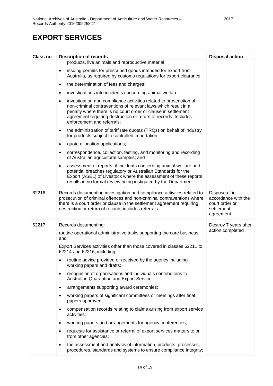| <b>Class no</b> | <b>Description of records</b>                                                                                                                                                                                                                                                                             | <b>Disposal action</b>                                                            |
|-----------------|-----------------------------------------------------------------------------------------------------------------------------------------------------------------------------------------------------------------------------------------------------------------------------------------------------------|-----------------------------------------------------------------------------------|
|                 | products, live animals and reproductive material;                                                                                                                                                                                                                                                         |                                                                                   |
|                 | issuing permits for prescribed goods intended for export from<br>$\bullet$<br>Australia, as required by customs regulations for export clearance;                                                                                                                                                         |                                                                                   |
|                 | the determination of fees and charges;<br>$\bullet$                                                                                                                                                                                                                                                       |                                                                                   |
|                 | investigations into incidents concerning animal welfare;<br>٠                                                                                                                                                                                                                                             |                                                                                   |
|                 | investigation and compliance activities related to prosecution of<br>٠<br>non-criminal contraventions of relevant laws which result in a<br>penalty where there is no court order or clause in settlement<br>agreement requiring destruction or return of records. Includes<br>enforcement and referrals; |                                                                                   |
|                 | the administration of tariff rate quotas (TRQs) on behalf of industry<br>$\bullet$<br>for products subject to controlled importation;                                                                                                                                                                     |                                                                                   |
|                 | quota allocation applications;<br>$\bullet$                                                                                                                                                                                                                                                               |                                                                                   |
|                 | correspondence, collection, testing, and monitoring and recording<br>of Australian agricultural samples; and                                                                                                                                                                                              |                                                                                   |
|                 | assessment of reports of incidents concerning animal welfare and<br>$\bullet$<br>potential breaches regulatory or Australian Standards for the<br>Export (ASEL) of Livestock where the assessment of these reports<br>results in no formal review being instigated by the Department.                     |                                                                                   |
| 62216           | Records documenting investigation and compliance activities related to<br>prosecution of criminal offences and non-criminal contraventions where<br>there is a court order or clause in the settlement agreement requiring<br>destruction or return of records includes referrals.                        | Dispose of in<br>accordance with the<br>court order or<br>settlement<br>agreement |
| 62217           | Records documenting:<br>routine operational administrative tasks supporting the core business;<br>and                                                                                                                                                                                                     | Destroy 7 years after<br>action completed                                         |
|                 | Export Services activities other than those covered in classes 62211 to<br>62214 and 62216, including:                                                                                                                                                                                                    |                                                                                   |
|                 | routine advice provided or received by the agency including<br>working papers and drafts;                                                                                                                                                                                                                 |                                                                                   |
|                 | recognition of organisations and individuals contributions to<br>٠<br>Australian Quarantine and Export Service;                                                                                                                                                                                           |                                                                                   |
|                 | arrangements supporting award ceremonies;<br>٠                                                                                                                                                                                                                                                            |                                                                                   |
|                 | working papers of significant committees or meetings after final<br>papers approved;                                                                                                                                                                                                                      |                                                                                   |
|                 | compensation records relating to claims arising from export service<br>activities;                                                                                                                                                                                                                        |                                                                                   |
|                 | working papers and arrangements for agency conferences;                                                                                                                                                                                                                                                   |                                                                                   |
|                 | requests for assistance or referral of export services matters to or<br>from other agencies;                                                                                                                                                                                                              |                                                                                   |
|                 | the assessment and analysis of information, products, processes,<br>procedures, standards and systems to ensure compliance integrity;                                                                                                                                                                     |                                                                                   |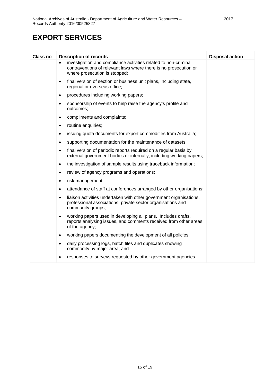| <b>Class no</b> | <b>Description of records</b>                                                                                                                                        | <b>Disposal action</b> |
|-----------------|----------------------------------------------------------------------------------------------------------------------------------------------------------------------|------------------------|
|                 | investigation and compliance activities related to non-criminal<br>contraventions of relevant laws where there is no prosecution or<br>where prosecution is stopped; |                        |
|                 | final version of section or business unit plans, including state,<br>$\bullet$<br>regional or overseas office;                                                       |                        |
|                 | procedures including working papers;                                                                                                                                 |                        |
|                 | sponsorship of events to help raise the agency's profile and<br>outcomes;                                                                                            |                        |
|                 | compliments and complaints;                                                                                                                                          |                        |
|                 | routine enquiries;<br>٠                                                                                                                                              |                        |
|                 | issuing quota documents for export commodities from Australia;<br>$\bullet$                                                                                          |                        |
|                 | supporting documentation for the maintenance of datasets;                                                                                                            |                        |
|                 | final version of periodic reports required on a regular basis by<br>external government bodies or internally, including working papers;                              |                        |
|                 | the investigation of sample results using traceback information;<br>$\bullet$                                                                                        |                        |
|                 | review of agency programs and operations;                                                                                                                            |                        |
|                 | risk management;<br>$\bullet$                                                                                                                                        |                        |
|                 | attendance of staff at conferences arranged by other organisations;                                                                                                  |                        |
|                 | liaison activities undertaken with other government organisations,<br>professional associations, private sector organisations and<br>community groups;               |                        |
|                 | working papers used in developing all plans. Includes drafts,<br>reports analysing issues, and comments received from other areas<br>of the agency;                  |                        |
|                 | working papers documenting the development of all policies;<br>$\bullet$                                                                                             |                        |
|                 | daily processing logs, batch files and duplicates showing<br>٠<br>commodity by major area; and                                                                       |                        |
|                 | responses to surveys requested by other government agencies.                                                                                                         |                        |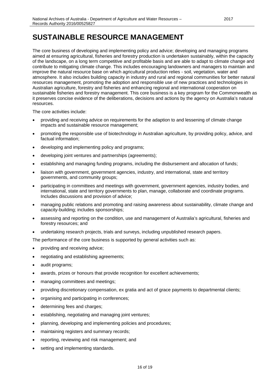<span id="page-15-0"></span>The core business of developing and implementing policy and advice; developing and managing programs aimed at ensuring agricultural, fisheries and forestry production is undertaken sustainably, within the capacity of the landscape, on a long term competitive and profitable basis and are able to adapt to climate change and contribute to mitigating climate change. This includes encouraging landowners and managers to maintain and improve the natural resource base on which agricultural production relies - soil, vegetation, water and atmosphere. It also includes building capacity in industry and rural and regional communities for better natural resources management, promoting the adoption and responsible use of new practices and technologies in Australian agriculture, forestry and fisheries and enhancing regional and international cooperation on sustainable fisheries and forestry management. This core business is a key program for the Commonwealth as it preserves concise evidence of the deliberations, decisions and actions by the agency on Australia's natural resources.

The core activities include:

- providing and receiving advice on requirements for the adaption to and lessening of climate change impacts and sustainable resource management;
- promoting the responsible use of biotechnology in Australian agriculture, by providing policy, advice, and factual information;
- developing and implementing policy and programs;
- developing joint ventures and partnerships (agreements);
- establishing and managing funding programs, including the disbursement and allocation of funds;
- liaison with government, government agencies, industry, and international, state and territory governments, and community groups;
- participating in committees and meetings with government, government agencies, industry bodies, and international, state and territory governments to plan, manage, collaborate and coordinate programs. Includes discussions and provision of advice;
- managing public relations and promoting and raising awareness about sustainability, climate change and capacity-building; includes sponsorships;
- assessing and reporting on the condition, use and management of Australia's agricultural, fisheries and forestry resources; and
- undertaking research projects, trials and surveys, including unpublished research papers.
- The performance of the core business is supported by general activities such as:
- providing and receiving advice;
- negotiating and establishing agreements;
- audit programs;
- awards, prizes or honours that provide recognition for excellent achievements;
- managing committees and meetings;
- providing discretionary compensation, ex gratia and act of grace payments to departmental clients;
- organising and participating in conferences;
- determining fees and charges;
- establishing, negotiating and managing joint ventures;
- planning, developing and implementing policies and procedures;
- maintaining registers and summary records;
- reporting, reviewing and risk management; and
- setting and implementing standards.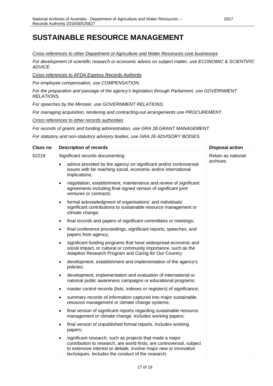#### *Cross references to other Department of Agriculture and Water Resoruces core businesses*

*For development of scientific research or economic advice on subject matter, use ECONOMIC & SCIENTIFIC ADVICE.*

*Cross references to AFDA Express Records Authority*

*For employee compensation, use COMPENSATION.*

*For the preparation and passage of the agency's legislation through Parliament, use GOVERNMENT RELATIONS.*

*For speeches by the Minister, use GOVERNMENT RELATIONS.*

*For managing acquisition, tendering and contracting-out arrangements use PROCUREMENT.*

*Cross references to other records authorities*

*For records of grants and funding administration, use GRA 28 GRANT MANAGEMENT.*

*For statutory and non-statutory advisory bodies, use GRA 26 ADVISORY BODIES.*

| <b>Class no</b> | <b>Description of records</b>                                                                                                                                                                                                                                            | <b>Disposal action</b> |
|-----------------|--------------------------------------------------------------------------------------------------------------------------------------------------------------------------------------------------------------------------------------------------------------------------|------------------------|
| 62218           | Significant records documenting:                                                                                                                                                                                                                                         | Retain as national     |
|                 | advice provided by the agency on significant and/or controversial<br>issues with far reaching social, economic and/or international<br>implications;                                                                                                                     | archives               |
|                 | negotiation, establishment, maintenance and review of significant<br>$\bullet$<br>agreements including final signed version of significant joint<br>ventures or contracts;                                                                                               |                        |
|                 | formal acknowledgment of organisations' and individuals'<br>$\bullet$<br>significant contributions to sustainable resource management or<br>climate change;                                                                                                              |                        |
|                 | final records and papers of significant committees or meetings;<br>$\bullet$                                                                                                                                                                                             |                        |
|                 | final conference proceedings, significant reports, speeches, and<br>$\bullet$<br>papers from agency;                                                                                                                                                                     |                        |
|                 | significant funding programs that have widespread economic and<br>$\bullet$<br>social impact, or cultural or community importance, such as the<br>Adaption Research Program and Caring for Our Country;                                                                  |                        |
|                 | development, establishment and implementation of the agency's<br>$\bullet$<br>policies;                                                                                                                                                                                  |                        |
|                 | development, implementation and evaluation of international or<br>$\bullet$<br>national public awareness campaigns or educational programs;                                                                                                                              |                        |
|                 | master control records (lists, indexes or registers) of significance;<br>$\bullet$                                                                                                                                                                                       |                        |
|                 | summary records of information captured into major sustainable<br>$\bullet$<br>resource management or climate change systems;                                                                                                                                            |                        |
|                 | final version of significant reports regarding sustainable resource<br>$\bullet$<br>management or climate change. Includes working papers;                                                                                                                               |                        |
|                 | final version of unpublished formal reports. Includes working<br>$\bullet$<br>papers;                                                                                                                                                                                    |                        |
|                 | significant research, such as projects that made a major<br>$\bullet$<br>contribution to research, are world firsts, are controversial, subject<br>to extensive interest or debate, involve major new or innovative<br>techniques. Includes the conduct of the research; |                        |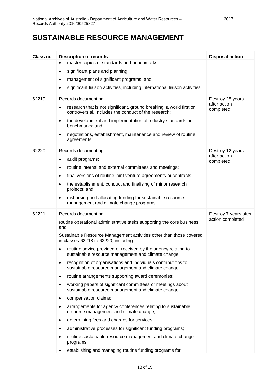| <b>Class no</b> | <b>Description of records</b>                                                                                                    | <b>Disposal action</b>    |
|-----------------|----------------------------------------------------------------------------------------------------------------------------------|---------------------------|
|                 | master copies of standards and benchmarks;                                                                                       |                           |
|                 | significant plans and planning;<br>$\bullet$                                                                                     |                           |
|                 | management of significant programs; and                                                                                          |                           |
|                 | significant liaison activities, including international liaison activities.                                                      |                           |
| 62219           | Records documenting:                                                                                                             | Destroy 25 years          |
|                 | research that is not significant, ground breaking, a world first or<br>٠<br>controversial. Includes the conduct of the research; | after action<br>completed |
|                 | the development and implementation of industry standards or<br>٠<br>benchmarks; and                                              |                           |
|                 | negotiations, establishment, maintenance and review of routine<br>٠<br>agreements.                                               |                           |
| 62220           | Records documenting:                                                                                                             | Destroy 12 years          |
|                 | audit programs;<br>٠                                                                                                             | after action<br>completed |
|                 | routine internal and external committees and meetings;<br>٠                                                                      |                           |
|                 | final versions of routine joint venture agreements or contracts;<br>٠                                                            |                           |
|                 | the establishment, conduct and finalising of minor research<br>٠<br>projects; and                                                |                           |
|                 | disbursing and allocating funding for sustainable resource<br>management and climate change programs.                            |                           |
| 62221           | Records documenting:                                                                                                             | Destroy 7 years after     |
|                 | routine operational administrative tasks supporting the core business;<br>and                                                    | action completed          |
|                 | Sustainable Resource Management activities other than those covered<br>in classes 62218 to 62220, including:                     |                           |
|                 | routine advice provided or received by the agency relating to<br>sustainable resource management and climate change;             |                           |
|                 | recognition of organisations and individuals contributions to<br>sustainable resource management and climate change;             |                           |
|                 | routine arrangements supporting award ceremonies;<br>$\bullet$                                                                   |                           |
|                 | working papers of significant committees or meetings about<br>sustainable resource management and climate change;                |                           |
|                 | compensation claims;<br>٠                                                                                                        |                           |
|                 | arrangements for agency conferences relating to sustainable<br>resource management and climate change;                           |                           |
|                 | determining fees and charges for services;<br>٠                                                                                  |                           |
|                 | administrative processes for significant funding programs;                                                                       |                           |
|                 | routine sustainable resource management and climate change<br>programs;                                                          |                           |
|                 | establishing and managing routine funding programs for                                                                           |                           |